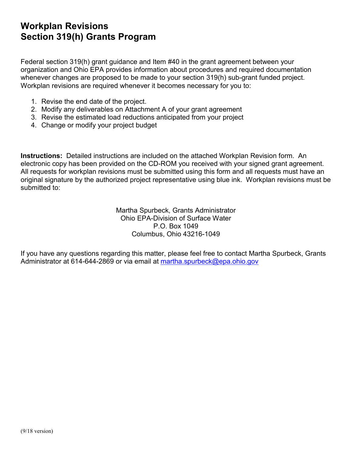## **Workplan Revisions Section 319(h) Grants Program**

Federal section 319(h) grant guidance and Item #40 in the grant agreement between your organization and Ohio EPA provides information about procedures and required documentation whenever changes are proposed to be made to your section 319(h) sub-grant funded project. Workplan revisions are required whenever it becomes necessary for you to:

- 1. Revise the end date of the project.
- 2. Modify any deliverables on Attachment A of your grant agreement
- 3. Revise the estimated load reductions anticipated from your project
- 4. Change or modify your project budget

**Instructions:** Detailed instructions are included on the attached Workplan Revision form. An electronic copy has been provided on the CD-ROM you received with your signed grant agreement. All requests for workplan revisions must be submitted using this form and all requests must have an original signature by the authorized project representative using blue ink. Workplan revisions must be submitted to:

> Martha Spurbeck, Grants Administrator Ohio EPA-Division of Surface Water P.O. Box 1049 Columbus, Ohio 43216-1049

If you have any questions regarding this matter, please feel free to contact Martha Spurbeck, Grants Administrator at 614-644-2869 or via email at [martha.spurbeck@epa.ohio.gov](mailto:martha.spurbeck@epa.ohio.gov)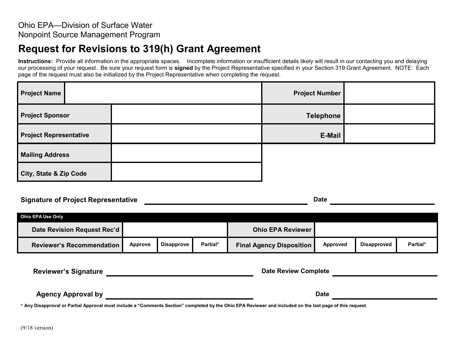## **Request for Revisions to 319(h) Grant Agreement**

Instructions: Provide all information in the appropriate spaces. Incomplete information or insufficient details likely will result in our contacting you and delaying our processing of your request. Be sure your request form is **signed** by the Project Representative specified in your Section 319 Grant Agreement. NOTE: Each page of the request must also be initialized by the Project Representative when completing the request.

| <b>Project Name</b>           | <b>Project Number</b> |  |
|-------------------------------|-----------------------|--|
| <b>Project Sponsor</b>        | <b>Telephone</b>      |  |
| <b>Project Representative</b> | E-Mail                |  |
| <b>Mailing Address</b>        |                       |  |
| City, State & Zip Code        |                       |  |

## **Signature of Project Representative and Signature Date** Date

**Ohio EPA Use Only Date Revision Request Rec'd CONSIDERED ATTENTS IN THE SET ON A REVIEWER BY A REVIEWER Reviewer's Recommendation Approve Disapprove Partial\* Final Agency Disposition Approved Disapproved Partial\***

**Reviewer's Signature** *Reviewer's* **Signature Date Review Complete** 

**Agency Approval by Date** 

\* **Any Disapproval or Partial Approval must include a "Comments Section" completed by the Ohio EPA Reviewer and included on the last page of this request.**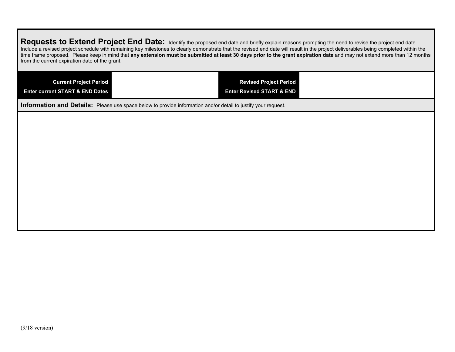| Requests to Extend Project End Date: Identify the proposed end date and briefly explain reasons prompting the need to revise the project end date.<br>Include a revised project schedule with remaining key milestones to clearly demonstrate that the revised end date will result in the project deliverables being completed within the<br>time frame proposed. Please keep in mind that any extension must be submitted at least 30 days prior to the grant expiration date and may not extend more than 12 months<br>from the current expiration date of the grant. |                                                                       |  |  |  |
|--------------------------------------------------------------------------------------------------------------------------------------------------------------------------------------------------------------------------------------------------------------------------------------------------------------------------------------------------------------------------------------------------------------------------------------------------------------------------------------------------------------------------------------------------------------------------|-----------------------------------------------------------------------|--|--|--|
| <b>Current Project Period</b><br><b>Enter current START &amp; END Dates</b>                                                                                                                                                                                                                                                                                                                                                                                                                                                                                              | <b>Revised Project Period</b><br><b>Enter Revised START &amp; END</b> |  |  |  |
| <b>Information and Details:</b> Please use space below to provide information and/or detail to justify your request.                                                                                                                                                                                                                                                                                                                                                                                                                                                     |                                                                       |  |  |  |
|                                                                                                                                                                                                                                                                                                                                                                                                                                                                                                                                                                          |                                                                       |  |  |  |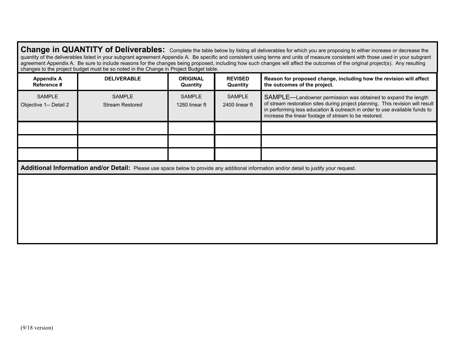|                                         | changes to the project budget must be so noted in the Change in Project Budget table. |                                 |                                 | Change in QUANTITY of Deliverables: Complete the table below by listing all deliverables for which you are proposing to either increase or decrease the<br>quantity of the deliverables listed in your subgrant agreement Appendix A. Be specific and consistent using terms and units of measure consistent with those used in your subgrant<br>agreement Appendix A. Be sure to include reasons for the changes being proposed, including how such changes will affect the outcomes of the original project(s). Any resulting |
|-----------------------------------------|---------------------------------------------------------------------------------------|---------------------------------|---------------------------------|---------------------------------------------------------------------------------------------------------------------------------------------------------------------------------------------------------------------------------------------------------------------------------------------------------------------------------------------------------------------------------------------------------------------------------------------------------------------------------------------------------------------------------|
| <b>Appendix A</b><br>Reference #        | <b>DELIVERABLE</b>                                                                    | <b>ORIGINAL</b><br>Quantity     | <b>REVISED</b><br>Quantity      | Reason for proposed change, including how the revision will affect<br>the outcomes of the project.                                                                                                                                                                                                                                                                                                                                                                                                                              |
| <b>SAMPLE</b><br>Objective 1-- Detail 2 | <b>SAMPLE</b><br><b>Stream Restored</b>                                               | <b>SAMPLE</b><br>1280 linear ft | <b>SAMPLE</b><br>2400 linear ft | SAMPLE—Landowner permission was obtained to expand the length<br>of stream restoration sites during project planning. This revision will result<br>in performing less education & outreach in order to use available funds to<br>increase the linear footage of stream to be restored.                                                                                                                                                                                                                                          |
|                                         |                                                                                       |                                 |                                 |                                                                                                                                                                                                                                                                                                                                                                                                                                                                                                                                 |
|                                         |                                                                                       |                                 |                                 |                                                                                                                                                                                                                                                                                                                                                                                                                                                                                                                                 |
|                                         |                                                                                       |                                 |                                 |                                                                                                                                                                                                                                                                                                                                                                                                                                                                                                                                 |
|                                         |                                                                                       |                                 |                                 | Additional Information and/or Detail: Please use space below to provide any additional information and/or detail to justify your request.                                                                                                                                                                                                                                                                                                                                                                                       |
|                                         |                                                                                       |                                 |                                 |                                                                                                                                                                                                                                                                                                                                                                                                                                                                                                                                 |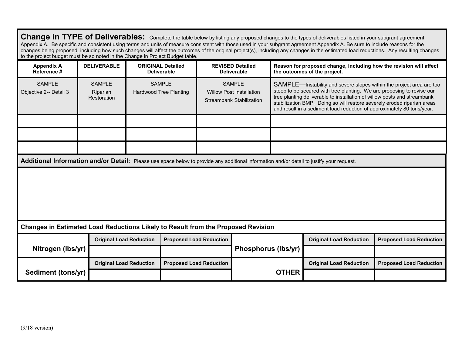| Change in TYPE of Deliverables: Complete the table below by listing any proposed changes to the types of deliverables listed in your subgrant agreement<br>Appendix A. Be specific and consistent using terms and units of measure consistent with those used in your subgrant agreement Appendix A. Be sure to include reasons for the<br>changes being proposed, including how such changes will affect the outcomes of the original project(s), including any changes in the estimated load reductions. Any resulting changes<br>to the project budget must be so noted in the Change in Project Budget table. |                                          |                                |                                                |                                |                                                                                     |  |                                                                                                                                                                                                                                                                                                                                                                                 |                                |
|-------------------------------------------------------------------------------------------------------------------------------------------------------------------------------------------------------------------------------------------------------------------------------------------------------------------------------------------------------------------------------------------------------------------------------------------------------------------------------------------------------------------------------------------------------------------------------------------------------------------|------------------------------------------|--------------------------------|------------------------------------------------|--------------------------------|-------------------------------------------------------------------------------------|--|---------------------------------------------------------------------------------------------------------------------------------------------------------------------------------------------------------------------------------------------------------------------------------------------------------------------------------------------------------------------------------|--------------------------------|
| <b>Appendix A</b><br>Reference #                                                                                                                                                                                                                                                                                                                                                                                                                                                                                                                                                                                  | <b>DELIVERABLE</b>                       |                                | <b>ORIGINAL Detailed</b><br><b>Deliverable</b> |                                | <b>REVISED Detailed</b><br><b>Deliverable</b>                                       |  | Reason for proposed change, including how the revision will affect<br>the outcomes of the project.                                                                                                                                                                                                                                                                              |                                |
| <b>SAMPLE</b><br>Objective 2-- Detail 3                                                                                                                                                                                                                                                                                                                                                                                                                                                                                                                                                                           | <b>SAMPLE</b><br>Riparian<br>Restoration |                                | <b>SAMPLE</b><br>Hardwood Tree Planting        |                                | <b>SAMPLE</b><br><b>Willow Post Installation</b><br><b>Streambank Stabilization</b> |  | SAMPLE—Instability and severe slopes within the project area are too<br>steep to be secured with tree planting. We are proposing to revise our<br>tree planting deliverable to installation of willow posts and streambank<br>stabilization BMP. Doing so will restore severely eroded riparian areas<br>and result in a sediment load reduction of approximately 80 tons/year. |                                |
|                                                                                                                                                                                                                                                                                                                                                                                                                                                                                                                                                                                                                   |                                          |                                |                                                |                                |                                                                                     |  |                                                                                                                                                                                                                                                                                                                                                                                 |                                |
|                                                                                                                                                                                                                                                                                                                                                                                                                                                                                                                                                                                                                   |                                          |                                |                                                |                                |                                                                                     |  |                                                                                                                                                                                                                                                                                                                                                                                 |                                |
|                                                                                                                                                                                                                                                                                                                                                                                                                                                                                                                                                                                                                   |                                          |                                |                                                |                                |                                                                                     |  |                                                                                                                                                                                                                                                                                                                                                                                 |                                |
| Additional Information and/or Detail: Please use space below to provide any additional information and/or detail to justify your request.                                                                                                                                                                                                                                                                                                                                                                                                                                                                         |                                          |                                |                                                |                                |                                                                                     |  |                                                                                                                                                                                                                                                                                                                                                                                 |                                |
|                                                                                                                                                                                                                                                                                                                                                                                                                                                                                                                                                                                                                   |                                          |                                |                                                |                                |                                                                                     |  |                                                                                                                                                                                                                                                                                                                                                                                 |                                |
| Changes in Estimated Load Reductions Likely to Result from the Proposed Revision                                                                                                                                                                                                                                                                                                                                                                                                                                                                                                                                  |                                          |                                |                                                |                                |                                                                                     |  |                                                                                                                                                                                                                                                                                                                                                                                 |                                |
|                                                                                                                                                                                                                                                                                                                                                                                                                                                                                                                                                                                                                   |                                          | <b>Original Load Reduction</b> |                                                | <b>Proposed Load Reduction</b> |                                                                                     |  | <b>Original Load Reduction</b>                                                                                                                                                                                                                                                                                                                                                  | <b>Proposed Load Reduction</b> |
| Nitrogen (Ibs/yr)                                                                                                                                                                                                                                                                                                                                                                                                                                                                                                                                                                                                 |                                          |                                |                                                |                                | <b>Phosphorus (lbs/yr)</b>                                                          |  |                                                                                                                                                                                                                                                                                                                                                                                 |                                |
| Sediment (tons/yr)                                                                                                                                                                                                                                                                                                                                                                                                                                                                                                                                                                                                | <b>Original Load Reduction</b>           |                                | <b>Proposed Load Reduction</b>                 |                                | <b>OTHER</b>                                                                        |  | <b>Original Load Reduction</b>                                                                                                                                                                                                                                                                                                                                                  | <b>Proposed Load Reduction</b> |
|                                                                                                                                                                                                                                                                                                                                                                                                                                                                                                                                                                                                                   |                                          |                                |                                                |                                |                                                                                     |  |                                                                                                                                                                                                                                                                                                                                                                                 |                                |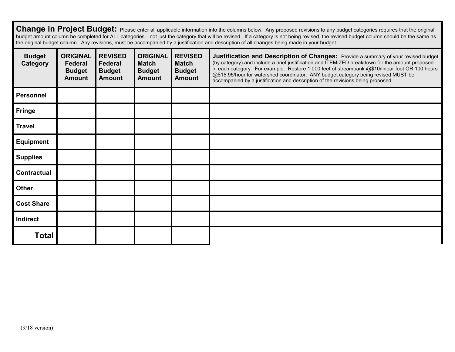Change in Project Budget: Please enter all applicable information into the columns below. Any proposed revisions to any budget categories requires that the original budget amount column be completed for ALL categories—not just the category that will be revised. If a category is not being revised, the revised budget column should be the same as the original budget column. Any revisions, must be accompanied by a justification and description of all changes being made in your budget.

| <b>Budget</b><br><b>Category</b> | <b>ORIGINAL</b><br>Federal<br><b>Budget</b><br><b>Amount</b> | <b>REVISED</b><br>Federal<br><b>Budget</b><br><b>Amount</b> | <b>ORIGINAL</b><br><b>Match</b><br><b>Budget</b><br><b>Amount</b> | <b>REVISED</b><br><b>Match</b><br><b>Budget</b><br><b>Amount</b> | Justification and Description of Changes: Provide a summary of your revised budget<br>(by category) and include a brief justification and ITEMIZED breakdown for the amount proposed<br>in each category. For example: Restore 1,000 feet of streambank @\$10/linear foot OR 100 hours<br>@\$15.95/hour for watershed coordinator. ANY budget category being revised MUST be<br>accompanied by a justification and description of the revisions being proposed. |
|----------------------------------|--------------------------------------------------------------|-------------------------------------------------------------|-------------------------------------------------------------------|------------------------------------------------------------------|-----------------------------------------------------------------------------------------------------------------------------------------------------------------------------------------------------------------------------------------------------------------------------------------------------------------------------------------------------------------------------------------------------------------------------------------------------------------|
| <b>Personnel</b>                 |                                                              |                                                             |                                                                   |                                                                  |                                                                                                                                                                                                                                                                                                                                                                                                                                                                 |
| <b>Fringe</b>                    |                                                              |                                                             |                                                                   |                                                                  |                                                                                                                                                                                                                                                                                                                                                                                                                                                                 |
| <b>Travel</b>                    |                                                              |                                                             |                                                                   |                                                                  |                                                                                                                                                                                                                                                                                                                                                                                                                                                                 |
| <b>Equipment</b>                 |                                                              |                                                             |                                                                   |                                                                  |                                                                                                                                                                                                                                                                                                                                                                                                                                                                 |
| <b>Supplies</b>                  |                                                              |                                                             |                                                                   |                                                                  |                                                                                                                                                                                                                                                                                                                                                                                                                                                                 |
| <b>Contractual</b>               |                                                              |                                                             |                                                                   |                                                                  |                                                                                                                                                                                                                                                                                                                                                                                                                                                                 |
| <b>Other</b>                     |                                                              |                                                             |                                                                   |                                                                  |                                                                                                                                                                                                                                                                                                                                                                                                                                                                 |
| <b>Cost Share</b>                |                                                              |                                                             |                                                                   |                                                                  |                                                                                                                                                                                                                                                                                                                                                                                                                                                                 |
| Indirect                         |                                                              |                                                             |                                                                   |                                                                  |                                                                                                                                                                                                                                                                                                                                                                                                                                                                 |
| <b>Total</b>                     |                                                              |                                                             |                                                                   |                                                                  |                                                                                                                                                                                                                                                                                                                                                                                                                                                                 |